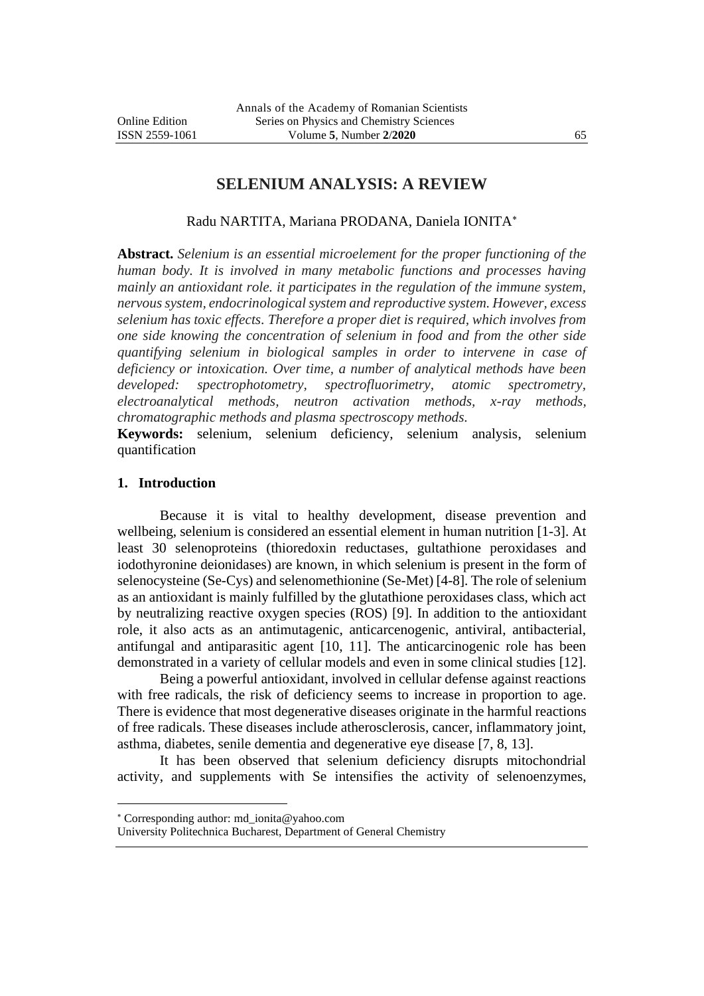# **SELENIUM ANALYSIS: A REVIEW**

#### Radu NARTITA, Mariana PRODANA, Daniela IONITA

**Abstract.** *Selenium is an essential microelement for the proper functioning of the human body. It is involved in many metabolic functions and processes having mainly an antioxidant role. it participates in the regulation of the immune system, nervous system, endocrinological system and reproductive system. However, excess selenium has toxic effects. Therefore a proper diet is required, which involves from one side knowing the concentration of selenium in food and from the other side quantifying selenium in biological samples in order to intervene in case of deficiency or intoxication. Over time, a number of analytical methods have been developed: spectrophotometry, spectrofluorimetry, atomic spectrometry, electroanalytical methods, neutron activation methods, x-ray methods, chromatographic methods and plasma spectroscopy methods.*

**Keywords:** selenium, selenium deficiency, selenium analysis, selenium quantification

#### **1. Introduction**

Because it is vital to healthy development, disease prevention and wellbeing, selenium is considered an essential element in human nutrition [1-3]. At least 30 selenoproteins (thioredoxin reductases, gultathione peroxidases and iodothyronine deionidases) are known, in which selenium is present in the form of selenocysteine (Se-Cys) and selenomethionine (Se-Met) [4-8]. The role of selenium as an antioxidant is mainly fulfilled by the glutathione peroxidases class, which act by neutralizing reactive oxygen species (ROS) [9]. In addition to the antioxidant role, it also acts as an antimutagenic, anticarcenogenic, antiviral, antibacterial, antifungal and antiparasitic agent [10, 11]. The anticarcinogenic role has been demonstrated in a variety of cellular models and even in some clinical studies [12].

Being a powerful antioxidant, involved in cellular defense against reactions with free radicals, the risk of deficiency seems to increase in proportion to age. There is evidence that most degenerative diseases originate in the harmful reactions of free radicals. These diseases include atherosclerosis, cancer, inflammatory joint, asthma, diabetes, senile dementia and degenerative eye disease [7, 8, 13].

It has been observed that selenium deficiency disrupts mitochondrial activity, and supplements with Se intensifies the activity of selenoenzymes,

Corresponding author: md\_ionita@yahoo.com

University Politechnica Bucharest, Department of General Chemistry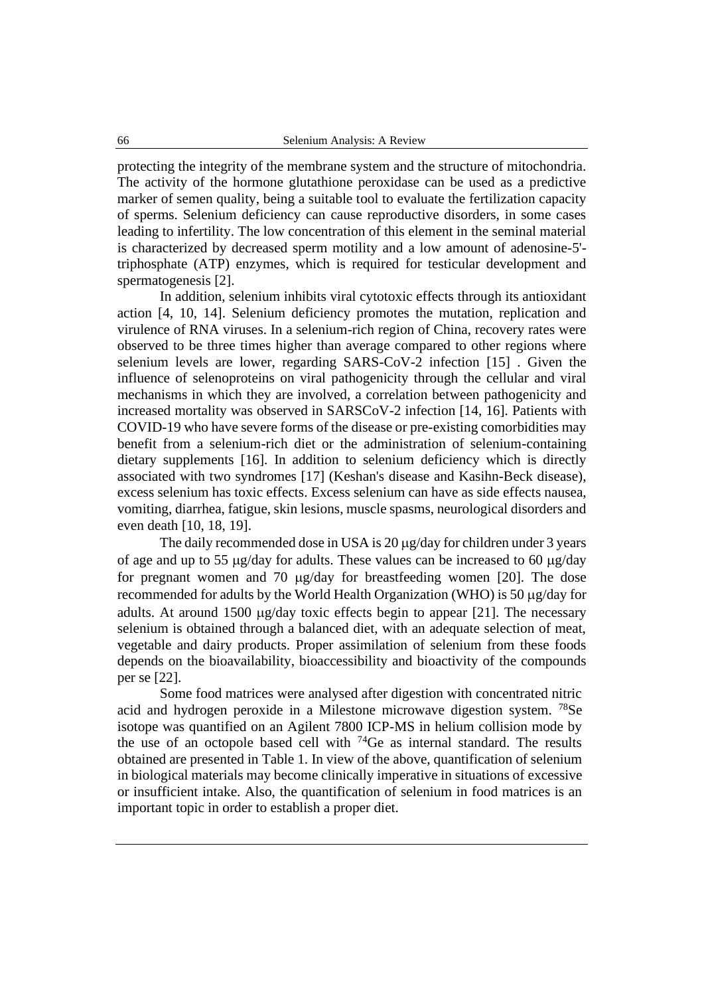protecting the integrity of the membrane system and the structure of mitochondria. The activity of the hormone glutathione peroxidase can be used as a predictive marker of semen quality, being a suitable tool to evaluate the fertilization capacity of sperms. Selenium deficiency can cause reproductive disorders, in some cases leading to infertility. The low concentration of this element in the seminal material is characterized by decreased sperm motility and a low amount of adenosine-5' triphosphate (ATP) enzymes, which is required for testicular development and spermatogenesis [2].

In addition, selenium inhibits viral cytotoxic effects through its antioxidant action [4, 10, 14]. Selenium deficiency promotes the mutation, replication and virulence of RNA viruses. In a selenium-rich region of China, recovery rates were observed to be three times higher than average compared to other regions where selenium levels are lower, regarding SARS-CoV-2 infection [15] . Given the influence of selenoproteins on viral pathogenicity through the cellular and viral mechanisms in which they are involved, a correlation between pathogenicity and increased mortality was observed in SARSCoV-2 infection [14, 16]. Patients with COVID-19 who have severe forms of the disease or pre-existing comorbidities may benefit from a selenium-rich diet or the administration of selenium-containing dietary supplements [16]. In addition to selenium deficiency which is directly associated with two syndromes [17] (Keshan's disease and Kasihn-Beck disease), excess selenium has toxic effects. Excess selenium can have as side effects nausea, vomiting, diarrhea, fatigue, skin lesions, muscle spasms, neurological disorders and even death [10, 18, 19].

The daily recommended dose in USA is 20 µg/day for children under 3 years of age and up to 55  $\mu$ g/day for adults. These values can be increased to 60  $\mu$ g/day for pregnant women and 70  $\mu$ g/day for breastfeeding women [20]. The dose recommended for adults by the World Health Organization (WHO) is 50  $\mu$ g/day for adults. At around 1500  $\mu$ g/day toxic effects begin to appear [21]. The necessary selenium is obtained through a balanced diet, with an adequate selection of meat, vegetable and dairy products. Proper assimilation of selenium from these foods depends on the bioavailability, bioaccessibility and bioactivity of the compounds per se [22].

Some food matrices were analysed after digestion with concentrated nitric acid and hydrogen peroxide in a Milestone microwave digestion system. <sup>78</sup>Se isotope was quantified on an Agilent 7800 ICP-MS in helium collision mode by the use of an octopole based cell with <sup>74</sup>Ge as internal standard. The results obtained are presented in Table 1. In view of the above, quantification of selenium in biological materials may become clinically imperative in situations of excessive or insufficient intake. Also, the quantification of selenium in food matrices is an important topic in order to establish a proper diet.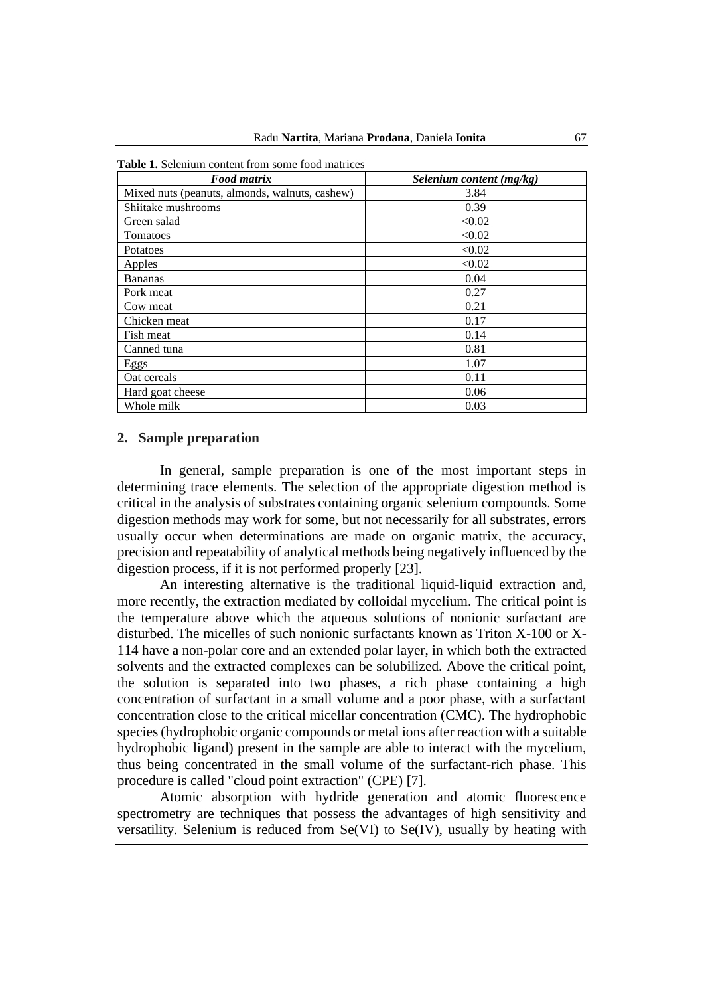| <b>Food matrix</b>                             | Selenium content (mg/kg) |
|------------------------------------------------|--------------------------|
| Mixed nuts (peanuts, almonds, walnuts, cashew) | 3.84                     |
| Shiitake mushrooms                             | 0.39                     |
| Green salad                                    | < 0.02                   |
| Tomatoes                                       | < 0.02                   |
| Potatoes                                       | < 0.02                   |
| Apples                                         | < 0.02                   |
| <b>Bananas</b>                                 | 0.04                     |
| Pork meat                                      | 0.27                     |
| Cow meat                                       | 0.21                     |
| Chicken meat                                   | 0.17                     |
| Fish meat                                      | 0.14                     |
| Canned tuna                                    | 0.81                     |
| Eggs                                           | 1.07                     |
| Oat cereals                                    | 0.11                     |
| Hard goat cheese                               | 0.06                     |
| Whole milk                                     | 0.03                     |

**Table 1.** Selenium content from some food matrices

## **2. Sample preparation**

In general, sample preparation is one of the most important steps in determining trace elements. The selection of the appropriate digestion method is critical in the analysis of substrates containing organic selenium compounds. Some digestion methods may work for some, but not necessarily for all substrates, errors usually occur when determinations are made on organic matrix, the accuracy, precision and repeatability of analytical methods being negatively influenced by the digestion process, if it is not performed properly [23].

An interesting alternative is the traditional liquid-liquid extraction and, more recently, the extraction mediated by colloidal mycelium. The critical point is the temperature above which the aqueous solutions of nonionic surfactant are disturbed. The micelles of such nonionic surfactants known as Triton X-100 or X-114 have a non-polar core and an extended polar layer, in which both the extracted solvents and the extracted complexes can be solubilized. Above the critical point, the solution is separated into two phases, a rich phase containing a high concentration of surfactant in a small volume and a poor phase, with a surfactant concentration close to the critical micellar concentration (CMC). The hydrophobic species (hydrophobic organic compounds or metal ions after reaction with a suitable hydrophobic ligand) present in the sample are able to interact with the mycelium, thus being concentrated in the small volume of the surfactant-rich phase. This procedure is called "cloud point extraction" (CPE) [7].

Atomic absorption with hydride generation and atomic fluorescence spectrometry are techniques that possess the advantages of high sensitivity and versatility. Selenium is reduced from Se(VI) to Se(IV), usually by heating with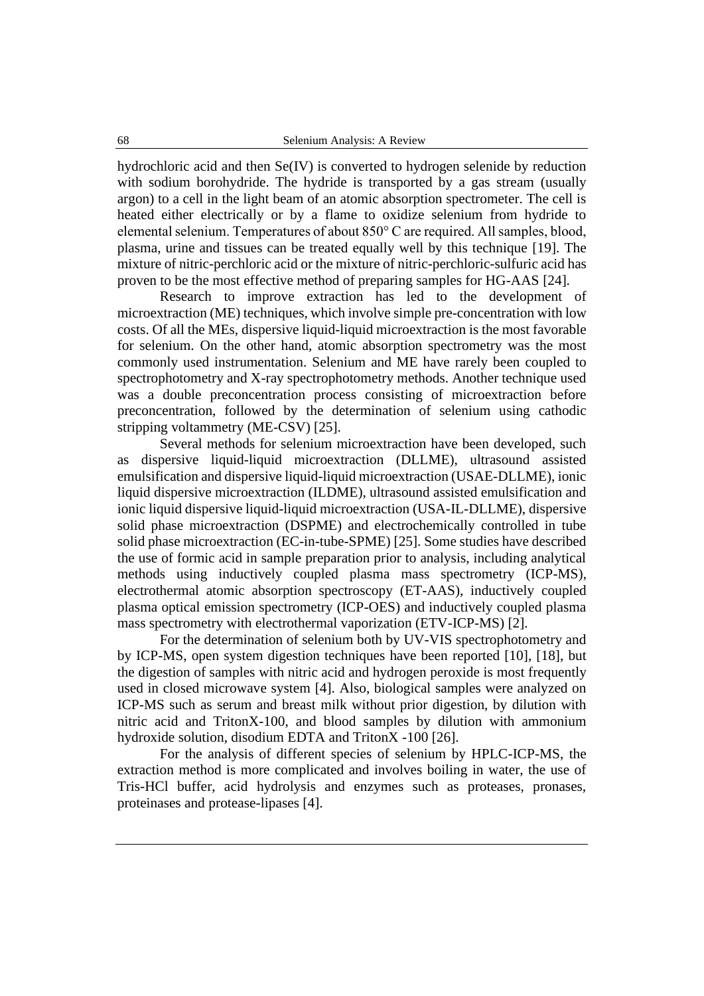hydrochloric acid and then Se(IV) is converted to hydrogen selenide by reduction with sodium borohydride. The hydride is transported by a gas stream (usually argon) to a cell in the light beam of an atomic absorption spectrometer. The cell is heated either electrically or by a flame to oxidize selenium from hydride to elemental selenium. Temperatures of about 850° C are required. All samples, blood, plasma, urine and tissues can be treated equally well by this technique [19]. The mixture of nitric-perchloric acid or the mixture of nitric-perchloric-sulfuric acid has proven to be the most effective method of preparing samples for HG-AAS [24].

Research to improve extraction has led to the development of microextraction (ME) techniques, which involve simple pre-concentration with low costs. Of all the MEs, dispersive liquid-liquid microextraction is the most favorable for selenium. On the other hand, atomic absorption spectrometry was the most commonly used instrumentation. Selenium and ME have rarely been coupled to spectrophotometry and X-ray spectrophotometry methods. Another technique used was a double preconcentration process consisting of microextraction before preconcentration, followed by the determination of selenium using cathodic stripping voltammetry (ME-CSV) [25].

Several methods for selenium microextraction have been developed, such as dispersive liquid-liquid microextraction (DLLME), ultrasound assisted emulsification and dispersive liquid-liquid microextraction (USAE-DLLME), ionic liquid dispersive microextraction (ILDME), ultrasound assisted emulsification and ionic liquid dispersive liquid-liquid microextraction (USA-IL-DLLME), dispersive solid phase microextraction (DSPME) and electrochemically controlled in tube solid phase microextraction (EC-in-tube-SPME) [25]. Some studies have described the use of formic acid in sample preparation prior to analysis, including analytical methods using inductively coupled plasma mass spectrometry (ICP-MS), electrothermal atomic absorption spectroscopy (ET-AAS), inductively coupled plasma optical emission spectrometry (ICP-OES) and inductively coupled plasma mass spectrometry with electrothermal vaporization (ETV-ICP-MS) [2].

For the determination of selenium both by UV-VIS spectrophotometry and by ICP-MS, open system digestion techniques have been reported [10], [18], but the digestion of samples with nitric acid and hydrogen peroxide is most frequently used in closed microwave system [4]. Also, biological samples were analyzed on ICP-MS such as serum and breast milk without prior digestion, by dilution with nitric acid and TritonX-100, and blood samples by dilution with ammonium hydroxide solution, disodium EDTA and TritonX -100 [26].

For the analysis of different species of selenium by HPLC-ICP-MS, the extraction method is more complicated and involves boiling in water, the use of Tris-HCl buffer, acid hydrolysis and enzymes such as proteases, pronases, proteinases and protease-lipases [4].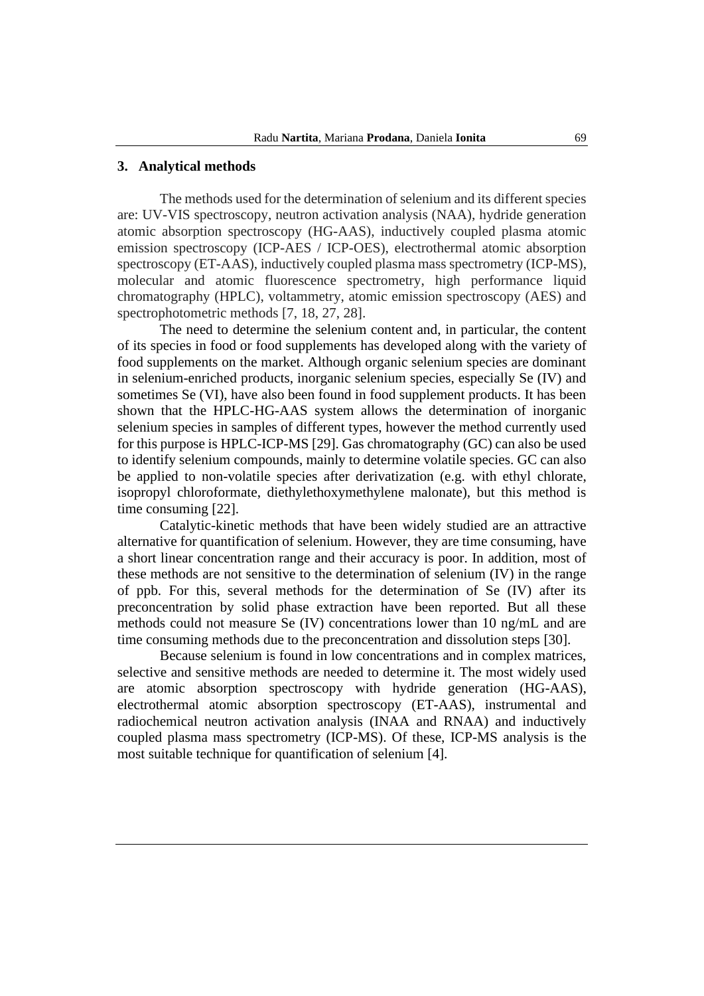## **3. Analytical methods**

The methods used for the determination of selenium and its different species are: UV-VIS spectroscopy, neutron activation analysis (NAA), hydride generation atomic absorption spectroscopy (HG-AAS), inductively coupled plasma atomic emission spectroscopy (ICP-AES / ICP-OES), electrothermal atomic absorption spectroscopy (ET-AAS), inductively coupled plasma mass spectrometry (ICP-MS), molecular and atomic fluorescence spectrometry, high performance liquid chromatography (HPLC), voltammetry, atomic emission spectroscopy (AES) and spectrophotometric methods [7, 18, 27, 28].

The need to determine the selenium content and, in particular, the content of its species in food or food supplements has developed along with the variety of food supplements on the market. Although organic selenium species are dominant in selenium-enriched products, inorganic selenium species, especially Se (IV) and sometimes Se (VI), have also been found in food supplement products. It has been shown that the HPLC-HG-AAS system allows the determination of inorganic selenium species in samples of different types, however the method currently used for this purpose is HPLC-ICP-MS [29]. Gas chromatography (GC) can also be used to identify selenium compounds, mainly to determine volatile species. GC can also be applied to non-volatile species after derivatization (e.g. with ethyl chlorate, isopropyl chloroformate, diethylethoxymethylene malonate), but this method is time consuming [22].

Catalytic-kinetic methods that have been widely studied are an attractive alternative for quantification of selenium. However, they are time consuming, have a short linear concentration range and their accuracy is poor. In addition, most of these methods are not sensitive to the determination of selenium (IV) in the range of ppb. For this, several methods for the determination of Se (IV) after its preconcentration by solid phase extraction have been reported. But all these methods could not measure Se (IV) concentrations lower than 10 ng/mL and are time consuming methods due to the preconcentration and dissolution steps [30].

Because selenium is found in low concentrations and in complex matrices, selective and sensitive methods are needed to determine it. The most widely used are atomic absorption spectroscopy with hydride generation (HG-AAS), electrothermal atomic absorption spectroscopy (ET-AAS), instrumental and radiochemical neutron activation analysis (INAA and RNAA) and inductively coupled plasma mass spectrometry (ICP-MS). Of these, ICP-MS analysis is the most suitable technique for quantification of selenium [4].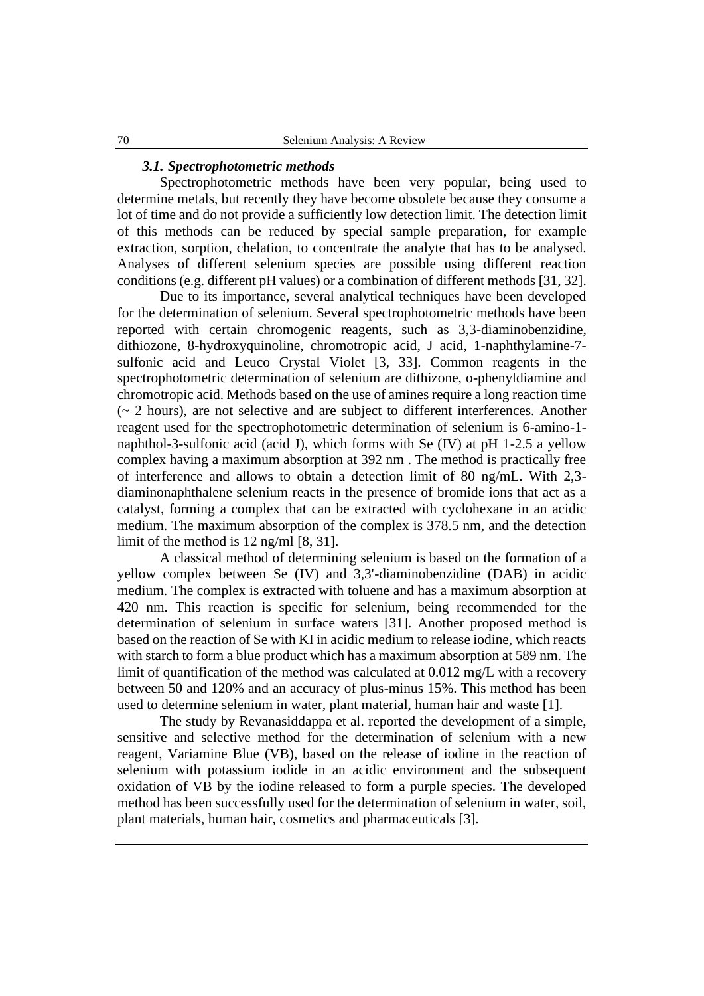#### *3.1. Spectrophotometric methods*

Spectrophotometric methods have been very popular, being used to determine metals, but recently they have become obsolete because they consume a lot of time and do not provide a sufficiently low detection limit. The detection limit of this methods can be reduced by special sample preparation, for example extraction, sorption, chelation, to concentrate the analyte that has to be analysed. Analyses of different selenium species are possible using different reaction conditions (e.g. different pH values) or a combination of different methods [31, 32].

Due to its importance, several analytical techniques have been developed for the determination of selenium. Several spectrophotometric methods have been reported with certain chromogenic reagents, such as 3,3-diaminobenzidine, dithiozone, 8-hydroxyquinoline, chromotropic acid, J acid, 1-naphthylamine-7 sulfonic acid and Leuco Crystal Violet [3, 33]. Common reagents in the spectrophotometric determination of selenium are dithizone, o-phenyldiamine and chromotropic acid. Methods based on the use of amines require a long reaction time  $\left(\sim 2 \text{ hours}\right)$ , are not selective and are subject to different interferences. Another reagent used for the spectrophotometric determination of selenium is 6-amino-1 naphthol-3-sulfonic acid (acid J), which forms with Se (IV) at pH 1-2.5 a yellow complex having a maximum absorption at 392 nm . The method is practically free of interference and allows to obtain a detection limit of 80 ng/mL. With 2,3 diaminonaphthalene selenium reacts in the presence of bromide ions that act as a catalyst, forming a complex that can be extracted with cyclohexane in an acidic medium. The maximum absorption of the complex is 378.5 nm, and the detection limit of the method is 12 ng/ml [8, 31].

A classical method of determining selenium is based on the formation of a yellow complex between Se (IV) and 3,3'-diaminobenzidine (DAB) in acidic medium. The complex is extracted with toluene and has a maximum absorption at 420 nm. This reaction is specific for selenium, being recommended for the determination of selenium in surface waters [31]. Another proposed method is based on the reaction of Se with KI in acidic medium to release iodine, which reacts with starch to form a blue product which has a maximum absorption at 589 nm. The limit of quantification of the method was calculated at 0.012 mg/L with a recovery between 50 and 120% and an accuracy of plus-minus 15%. This method has been used to determine selenium in water, plant material, human hair and waste [1].

The study by Revanasiddappa et al. reported the development of a simple, sensitive and selective method for the determination of selenium with a new reagent, Variamine Blue (VB), based on the release of iodine in the reaction of selenium with potassium iodide in an acidic environment and the subsequent oxidation of VB by the iodine released to form a purple species. The developed method has been successfully used for the determination of selenium in water, soil, plant materials, human hair, cosmetics and pharmaceuticals [3].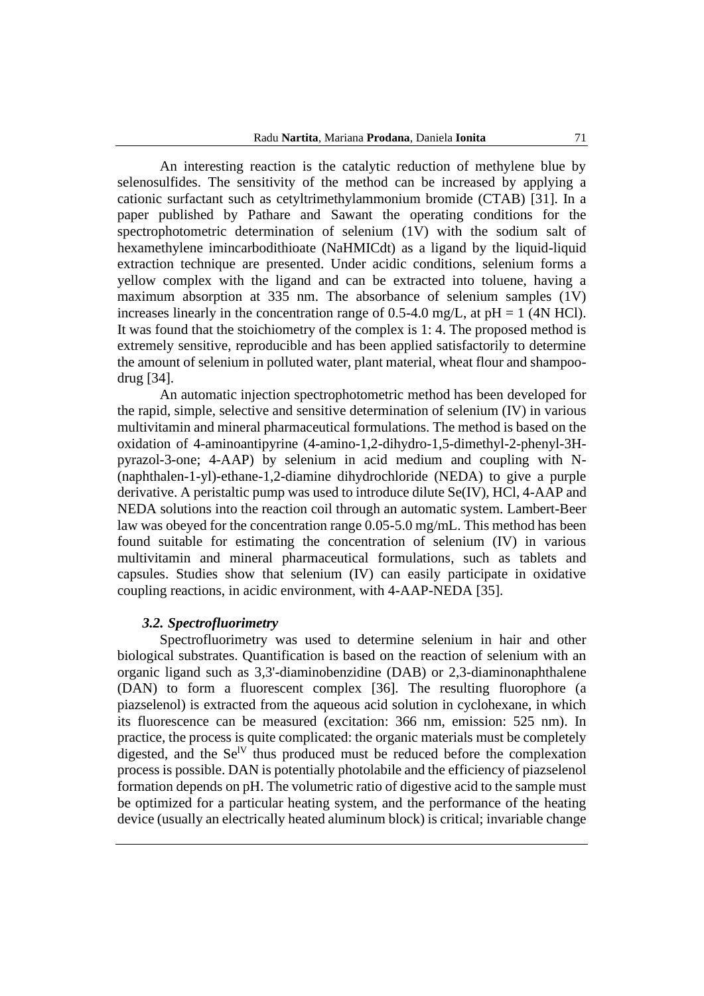An interesting reaction is the catalytic reduction of methylene blue by selenosulfides. The sensitivity of the method can be increased by applying a cationic surfactant such as cetyltrimethylammonium bromide (CTAB) [31]. In a paper published by Pathare and Sawant the operating conditions for the spectrophotometric determination of selenium (1V) with the sodium salt of hexamethylene imincarbodithioate (NaHMICdt) as a ligand by the liquid-liquid extraction technique are presented. Under acidic conditions, selenium forms a yellow complex with the ligand and can be extracted into toluene, having a maximum absorption at 335 nm. The absorbance of selenium samples (1V) increases linearly in the concentration range of 0.5-4.0 mg/L, at  $pH = 1$  (4N HCl). It was found that the stoichiometry of the complex is 1: 4. The proposed method is extremely sensitive, reproducible and has been applied satisfactorily to determine the amount of selenium in polluted water, plant material, wheat flour and shampoodrug [34].

An automatic injection spectrophotometric method has been developed for the rapid, simple, selective and sensitive determination of selenium (IV) in various multivitamin and mineral pharmaceutical formulations. The method is based on the oxidation of 4-aminoantipyrine (4-amino-1,2-dihydro-1,5-dimethyl-2-phenyl-3Hpyrazol-3-one; 4-AAP) by selenium in acid medium and coupling with N- (naphthalen-1-yl)-ethane-1,2-diamine dihydrochloride (NEDA) to give a purple derivative. A peristaltic pump was used to introduce dilute Se(IV), HCl, 4-AAP and NEDA solutions into the reaction coil through an automatic system. Lambert-Beer law was obeyed for the concentration range 0.05-5.0 mg/mL. This method has been found suitable for estimating the concentration of selenium (IV) in various multivitamin and mineral pharmaceutical formulations, such as tablets and capsules. Studies show that selenium (IV) can easily participate in oxidative coupling reactions, in acidic environment, with 4-AAP-NEDA [35].

#### *3.2. Spectrofluorimetry*

Spectrofluorimetry was used to determine selenium in hair and other biological substrates. Quantification is based on the reaction of selenium with an organic ligand such as 3,3'-diaminobenzidine (DAB) or 2,3-diaminonaphthalene (DAN) to form a fluorescent complex [36]. The resulting fluorophore (a piazselenol) is extracted from the aqueous acid solution in cyclohexane, in which its fluorescence can be measured (excitation: 366 nm, emission: 525 nm). In practice, the process is quite complicated: the organic materials must be completely digested, and the Se<sup>IV</sup> thus produced must be reduced before the complexation process is possible. DAN is potentially photolabile and the efficiency of piazselenol formation depends on pH. The volumetric ratio of digestive acid to the sample must be optimized for a particular heating system, and the performance of the heating device (usually an electrically heated aluminum block) is critical; invariable change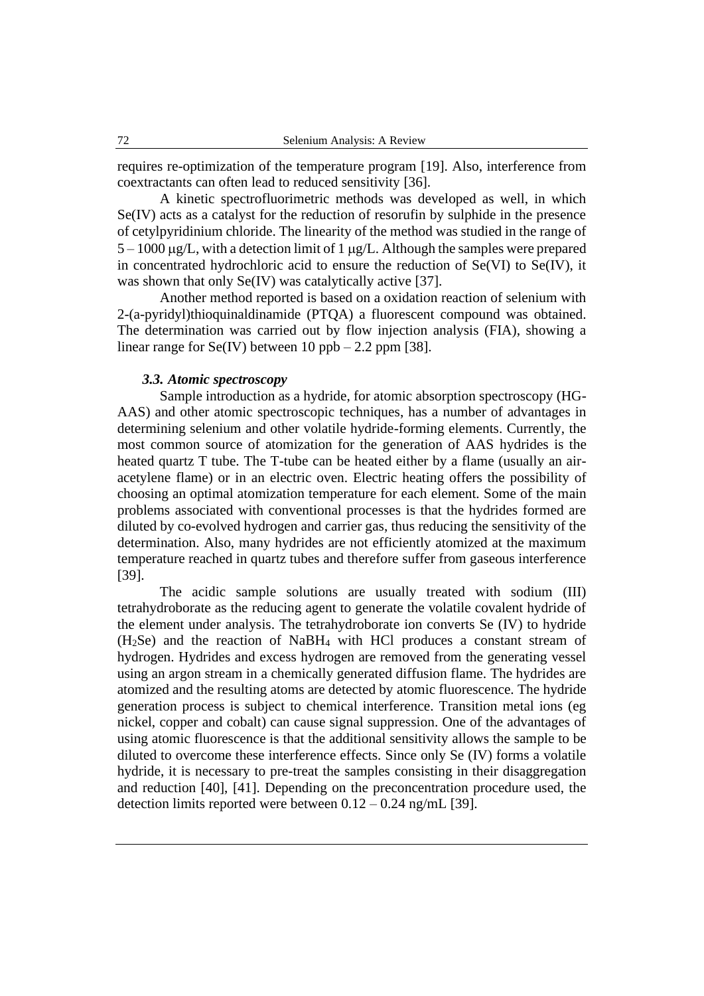requires re-optimization of the temperature program [19]. Also, interference from coextractants can often lead to reduced sensitivity [36].

A kinetic spectrofluorimetric methods was developed as well, in which Se(IV) acts as a catalyst for the reduction of resorufin by sulphide in the presence of cetylpyridinium chloride. The linearity of the method was studied in the range of  $5 - 1000 \mu g/L$ , with a detection limit of 1  $\mu g/L$ . Although the samples were prepared in concentrated hydrochloric acid to ensure the reduction of Se(VI) to Se(IV), it was shown that only Se(IV) was catalytically active [37].

Another method reported is based on a oxidation reaction of selenium with 2-(a-pyridyl)thioquinaldinamide (PTQA) a fluorescent compound was obtained. The determination was carried out by flow injection analysis (FIA), showing a linear range for  $Se(IV)$  between 10 ppb – 2.2 ppm [38].

#### *3.3. Atomic spectroscopy*

Sample introduction as a hydride, for atomic absorption spectroscopy (HG-AAS) and other atomic spectroscopic techniques, has a number of advantages in determining selenium and other volatile hydride-forming elements. Currently, the most common source of atomization for the generation of AAS hydrides is the heated quartz T tube. The T-tube can be heated either by a flame (usually an airacetylene flame) or in an electric oven. Electric heating offers the possibility of choosing an optimal atomization temperature for each element. Some of the main problems associated with conventional processes is that the hydrides formed are diluted by co-evolved hydrogen and carrier gas, thus reducing the sensitivity of the determination. Also, many hydrides are not efficiently atomized at the maximum temperature reached in quartz tubes and therefore suffer from gaseous interference [39].

The acidic sample solutions are usually treated with sodium (III) tetrahydroborate as the reducing agent to generate the volatile covalent hydride of the element under analysis. The tetrahydroborate ion converts Se (IV) to hydride (H2Se) and the reaction of NaBH<sup>4</sup> with HCl produces a constant stream of hydrogen. Hydrides and excess hydrogen are removed from the generating vessel using an argon stream in a chemically generated diffusion flame. The hydrides are atomized and the resulting atoms are detected by atomic fluorescence. The hydride generation process is subject to chemical interference. Transition metal ions (eg nickel, copper and cobalt) can cause signal suppression. One of the advantages of using atomic fluorescence is that the additional sensitivity allows the sample to be diluted to overcome these interference effects. Since only Se (IV) forms a volatile hydride, it is necessary to pre-treat the samples consisting in their disaggregation and reduction [40], [41]. Depending on the preconcentration procedure used, the detection limits reported were between  $0.12 - 0.24$  ng/mL [39].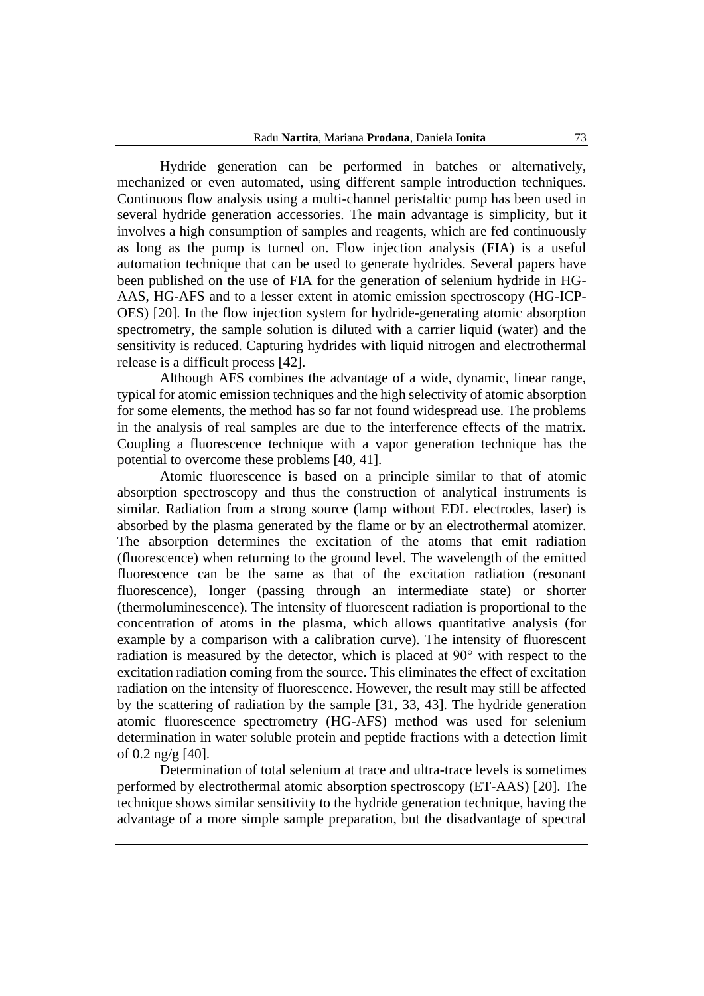Hydride generation can be performed in batches or alternatively, mechanized or even automated, using different sample introduction techniques. Continuous flow analysis using a multi-channel peristaltic pump has been used in several hydride generation accessories. The main advantage is simplicity, but it involves a high consumption of samples and reagents, which are fed continuously as long as the pump is turned on. Flow injection analysis (FIA) is a useful automation technique that can be used to generate hydrides. Several papers have been published on the use of FIA for the generation of selenium hydride in HG-AAS, HG-AFS and to a lesser extent in atomic emission spectroscopy (HG-ICP-OES) [20]. In the flow injection system for hydride-generating atomic absorption spectrometry, the sample solution is diluted with a carrier liquid (water) and the sensitivity is reduced. Capturing hydrides with liquid nitrogen and electrothermal release is a difficult process [42].

Although AFS combines the advantage of a wide, dynamic, linear range, typical for atomic emission techniques and the high selectivity of atomic absorption for some elements, the method has so far not found widespread use. The problems in the analysis of real samples are due to the interference effects of the matrix. Coupling a fluorescence technique with a vapor generation technique has the potential to overcome these problems [40, 41].

Atomic fluorescence is based on a principle similar to that of atomic absorption spectroscopy and thus the construction of analytical instruments is similar. Radiation from a strong source (lamp without EDL electrodes, laser) is absorbed by the plasma generated by the flame or by an electrothermal atomizer. The absorption determines the excitation of the atoms that emit radiation (fluorescence) when returning to the ground level. The wavelength of the emitted fluorescence can be the same as that of the excitation radiation (resonant fluorescence), longer (passing through an intermediate state) or shorter (thermoluminescence). The intensity of fluorescent radiation is proportional to the concentration of atoms in the plasma, which allows quantitative analysis (for example by a comparison with a calibration curve). The intensity of fluorescent radiation is measured by the detector, which is placed at 90° with respect to the excitation radiation coming from the source. This eliminates the effect of excitation radiation on the intensity of fluorescence. However, the result may still be affected by the scattering of radiation by the sample [31, 33, 43]. The hydride generation atomic fluorescence spectrometry (HG-AFS) method was used for selenium determination in water soluble protein and peptide fractions with a detection limit of 0.2 ng/g [40].

Determination of total selenium at trace and ultra-trace levels is sometimes performed by electrothermal atomic absorption spectroscopy (ET-AAS) [20]. The technique shows similar sensitivity to the hydride generation technique, having the advantage of a more simple sample preparation, but the disadvantage of spectral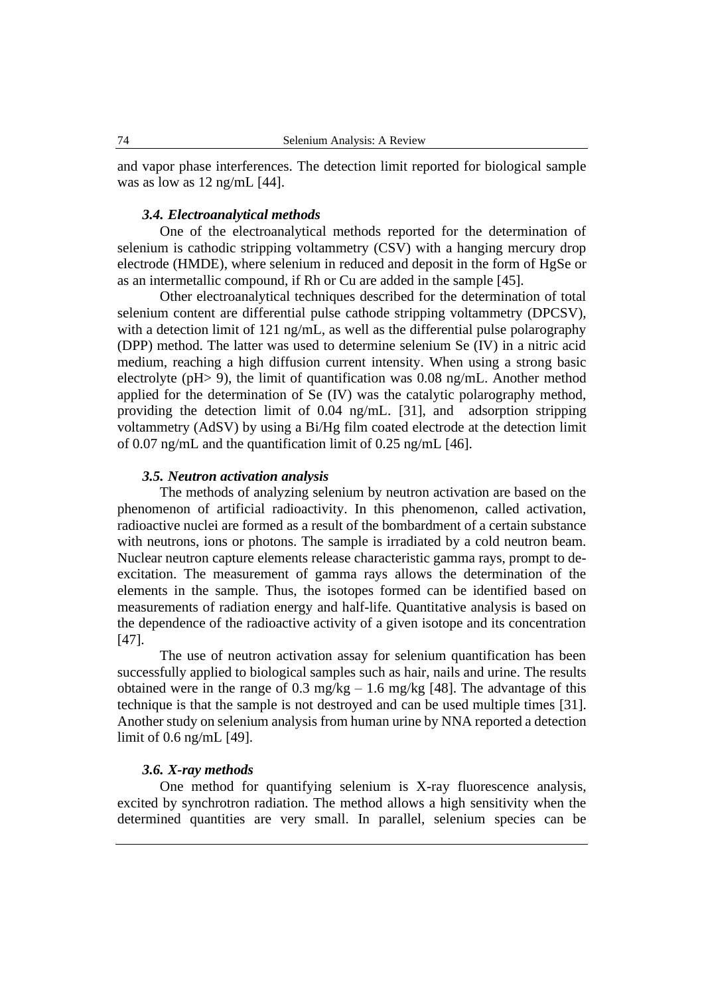and vapor phase interferences. The detection limit reported for biological sample was as low as 12 ng/mL [44].

#### *3.4. Electroanalytical methods*

One of the electroanalytical methods reported for the determination of selenium is cathodic stripping voltammetry (CSV) with a hanging mercury drop electrode (HMDE), where selenium in reduced and deposit in the form of HgSe or as an intermetallic compound, if Rh or Cu are added in the sample [45].

Other electroanalytical techniques described for the determination of total selenium content are differential pulse cathode stripping voltammetry (DPCSV), with a detection limit of 121 ng/mL, as well as the differential pulse polarography (DPP) method. The latter was used to determine selenium Se (IV) in a nitric acid medium, reaching a high diffusion current intensity. When using a strong basic electrolyte (pH> 9), the limit of quantification was 0.08 ng/mL. Another method applied for the determination of Se (IV) was the catalytic polarography method, providing the detection limit of 0.04 ng/mL. [31], and adsorption stripping voltammetry (AdSV) by using a Bi/Hg film coated electrode at the detection limit of 0.07 ng/mL and the quantification limit of 0.25 ng/mL [46].

## *3.5. Neutron activation analysis*

The methods of analyzing selenium by neutron activation are based on the phenomenon of artificial radioactivity. In this phenomenon, called activation, radioactive nuclei are formed as a result of the bombardment of a certain substance with neutrons, ions or photons. The sample is irradiated by a cold neutron beam. Nuclear neutron capture elements release characteristic gamma rays, prompt to deexcitation. The measurement of gamma rays allows the determination of the elements in the sample. Thus, the isotopes formed can be identified based on measurements of radiation energy and half-life. Quantitative analysis is based on the dependence of the radioactive activity of a given isotope and its concentration [47].

The use of neutron activation assay for selenium quantification has been successfully applied to biological samples such as hair, nails and urine. The results obtained were in the range of 0.3 mg/kg  $- 1.6$  mg/kg [48]. The advantage of this technique is that the sample is not destroyed and can be used multiple times [31]. Another study on selenium analysis from human urine by NNA reported a detection limit of 0.6 ng/mL [49].

## *3.6. X-ray methods*

One method for quantifying selenium is X-ray fluorescence analysis, excited by synchrotron radiation. The method allows a high sensitivity when the determined quantities are very small. In parallel, selenium species can be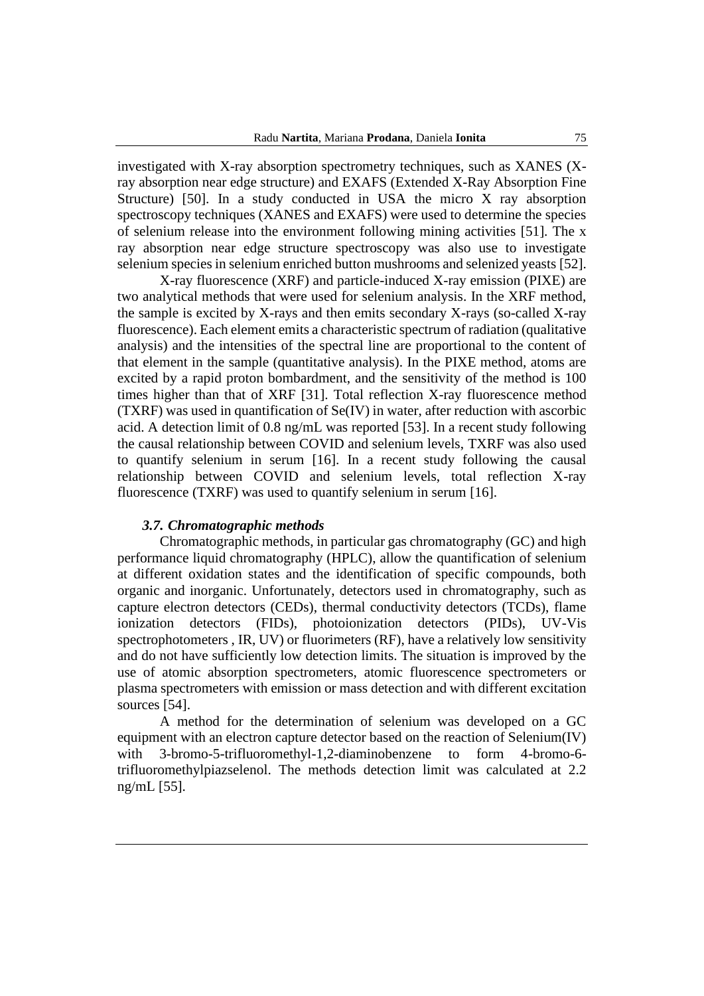investigated with X-ray absorption spectrometry techniques, such as XANES (Xray absorption near edge structure) and EXAFS (Extended X-Ray Absorption Fine Structure) [50]. In a study conducted in USA the micro X ray absorption spectroscopy techniques (XANES and EXAFS) were used to determine the species of selenium release into the environment following mining activities [51]. The x ray absorption near edge structure spectroscopy was also use to investigate selenium species in selenium enriched button mushrooms and selenized yeasts [52].

X-ray fluorescence (XRF) and particle-induced X-ray emission (PIXE) are two analytical methods that were used for selenium analysis. In the XRF method, the sample is excited by X-rays and then emits secondary X-rays (so-called X-ray fluorescence). Each element emits a characteristic spectrum of radiation (qualitative analysis) and the intensities of the spectral line are proportional to the content of that element in the sample (quantitative analysis). In the PIXE method, atoms are excited by a rapid proton bombardment, and the sensitivity of the method is 100 times higher than that of XRF [31]. Total reflection X-ray fluorescence method (TXRF) was used in quantification of Se(IV) in water, after reduction with ascorbic acid. A detection limit of 0.8 ng/mL was reported [53]. In a recent study following the causal relationship between COVID and selenium levels, TXRF was also used to quantify selenium in serum [16]. In a recent study following the causal relationship between COVID and selenium levels, total reflection X-ray fluorescence (TXRF) was used to quantify selenium in serum [16].

### *3.7. Chromatographic methods*

Chromatographic methods, in particular gas chromatography (GC) and high performance liquid chromatography (HPLC), allow the quantification of selenium at different oxidation states and the identification of specific compounds, both organic and inorganic. Unfortunately, detectors used in chromatography, such as capture electron detectors (CEDs), thermal conductivity detectors (TCDs), flame ionization detectors (FIDs), photoionization detectors (PIDs), UV-Vis spectrophotometers , IR, UV) or fluorimeters (RF), have a relatively low sensitivity and do not have sufficiently low detection limits. The situation is improved by the use of atomic absorption spectrometers, atomic fluorescence spectrometers or plasma spectrometers with emission or mass detection and with different excitation sources [54].

A method for the determination of selenium was developed on a GC equipment with an electron capture detector based on the reaction of Selenium(IV) with 3-bromo-5-trifluoromethyl-1,2-diaminobenzene to form 4-bromo-6trifluoromethylpiazselenol. The methods detection limit was calculated at 2.2 ng/mL [55].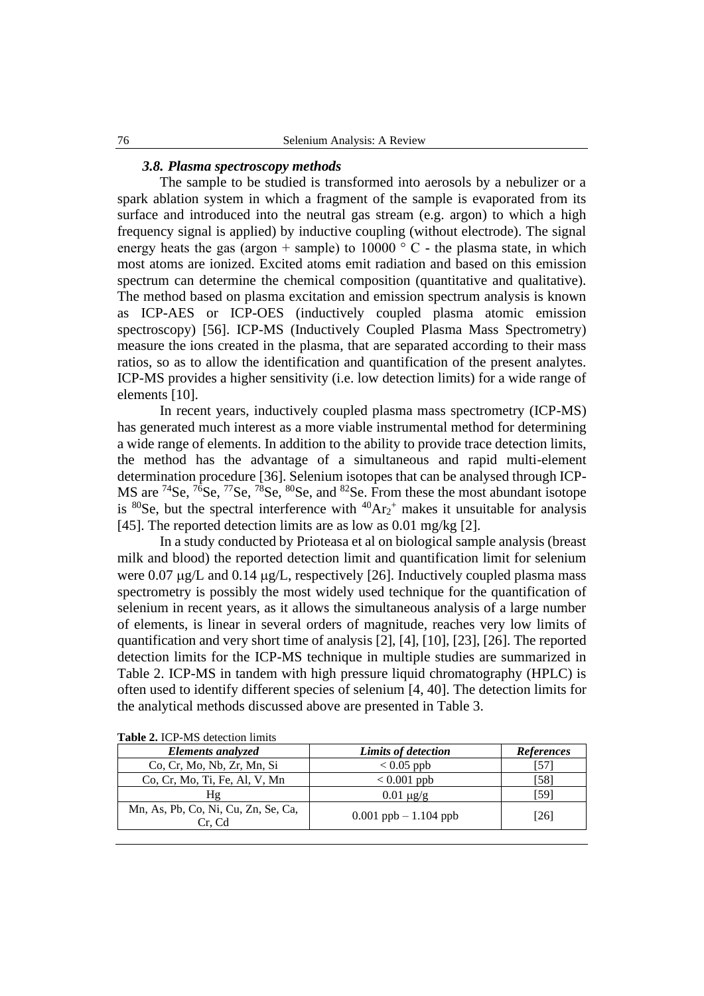## *3.8. Plasma spectroscopy methods*

The sample to be studied is transformed into aerosols by a nebulizer or a spark ablation system in which a fragment of the sample is evaporated from its surface and introduced into the neutral gas stream (e.g. argon) to which a high frequency signal is applied) by inductive coupling (without electrode). The signal energy heats the gas (argon + sample) to  $10000 \degree$  C - the plasma state, in which most atoms are ionized. Excited atoms emit radiation and based on this emission spectrum can determine the chemical composition (quantitative and qualitative). The method based on plasma excitation and emission spectrum analysis is known as ICP-AES or ICP-OES (inductively coupled plasma atomic emission spectroscopy) [56]. ICP-MS (Inductively Coupled Plasma Mass Spectrometry) measure the ions created in the plasma, that are separated according to their mass ratios, so as to allow the identification and quantification of the present analytes. ICP-MS provides a higher sensitivity (i.e. low detection limits) for a wide range of elements [10].

In recent years, inductively coupled plasma mass spectrometry (ICP-MS) has generated much interest as a more viable instrumental method for determining a wide range of elements. In addition to the ability to provide trace detection limits, the method has the advantage of a simultaneous and rapid multi-element determination procedure [36]. Selenium isotopes that can be analysed through ICP-MS are  $^{74}$ Se,  $^{76}$ Se,  $^{77}$ Se,  $^{78}$ Se,  $^{80}$ Se, and  $^{82}$ Se. From these the most abundant isotope is  ${}^{80}$ Se, but the spectral interference with  ${}^{40}Ar_2$ <sup>+</sup> makes it unsuitable for analysis [45]. The reported detection limits are as low as 0.01 mg/kg [2].

In a study conducted by Prioteasa et al on biological sample analysis (breast milk and blood) the reported detection limit and quantification limit for selenium were 0.07  $\mu$ g/L and 0.14  $\mu$ g/L, respectively [26]. Inductively coupled plasma mass spectrometry is possibly the most widely used technique for the quantification of selenium in recent years, as it allows the simultaneous analysis of a large number of elements, is linear in several orders of magnitude, reaches very low limits of quantification and very short time of analysis [2], [4], [10], [23], [26]. The reported detection limits for the ICP-MS technique in multiple studies are summarized in Table 2. ICP-MS in tandem with high pressure liquid chromatography (HPLC) is often used to identify different species of selenium [4, 40]. The detection limits for the analytical methods discussed above are presented in Table 3.

| Elements analyzed                             | Limits of detection      | <b>References</b> |
|-----------------------------------------------|--------------------------|-------------------|
| Co, Cr, Mo, Nb, Zr, Mn, Si                    | $< 0.05$ ppb             | [57]              |
| Co, Cr, Mo, Ti, Fe, Al, V, Mn                 | $< 0.001$ ppb            | [58]              |
| Ηg                                            | $0.01 \mu g/g$           | [59]              |
| Mn, As, Pb, Co, Ni, Cu, Zn, Se, Ca,<br>Cr. Cd | $0.001$ ppb $-1.104$ ppb | [26]              |

**Table 2.** ICP-MS detection limits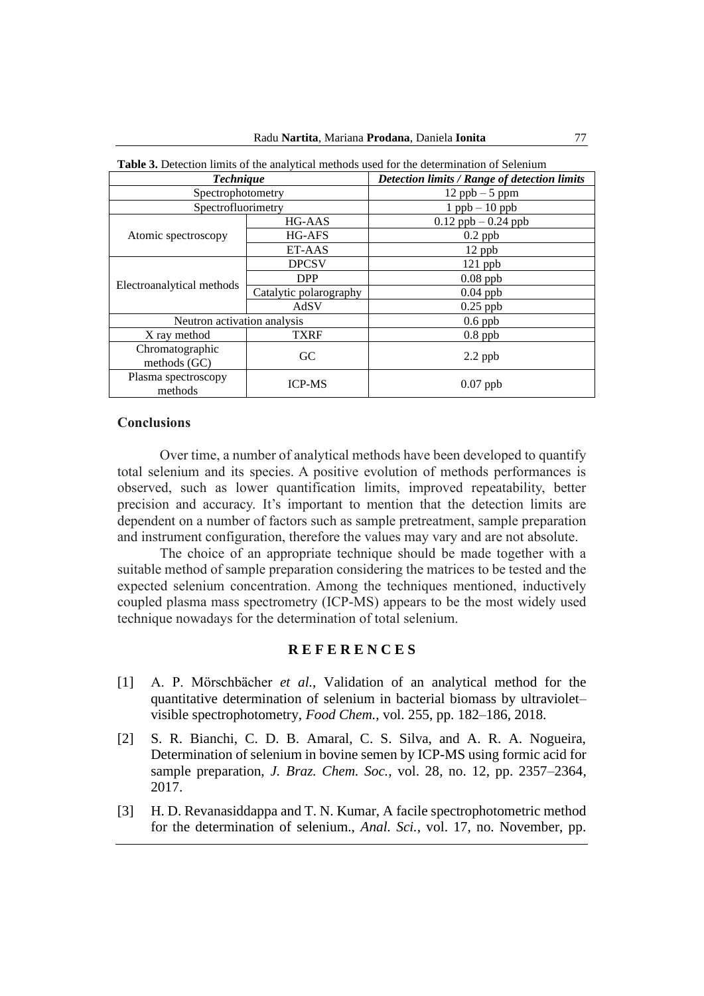| <b>THOICE</b> of Detection million of the analytical methods ased for the determination of belemant |                        |                                              |  |
|-----------------------------------------------------------------------------------------------------|------------------------|----------------------------------------------|--|
| <b>Technique</b>                                                                                    |                        | Detection limits / Range of detection limits |  |
| Spectrophotometry                                                                                   |                        | $12$ ppb $-5$ ppm                            |  |
| Spectrofluorimetry                                                                                  |                        | $1$ ppb $-10$ ppb                            |  |
| Atomic spectroscopy                                                                                 | HG-AAS                 | $0.12$ ppb $-0.24$ ppb                       |  |
|                                                                                                     | HG-AFS                 | $0.2$ ppb                                    |  |
|                                                                                                     | ET-AAS                 | 12 ppb                                       |  |
| Electroanalytical methods                                                                           | <b>DPCSV</b>           | $121$ ppb                                    |  |
|                                                                                                     | <b>DPP</b>             | $0.08$ ppb                                   |  |
|                                                                                                     | Catalytic polarography | $0.04$ ppb                                   |  |
|                                                                                                     | AdSV                   | $0.25$ ppb                                   |  |
| Neutron activation analysis                                                                         |                        | $0.6$ ppb                                    |  |
| X ray method                                                                                        | <b>TXRF</b>            | $0.8$ ppb                                    |  |
| Chromatographic<br>methods $(GC)$                                                                   | GC                     | $2.2$ ppb                                    |  |
| Plasma spectroscopy<br>methods                                                                      | <b>ICP-MS</b>          | $0.07$ ppb                                   |  |

**Table 3.** Detection limits of the analytical methods used for the determination of Selenium

#### **Conclusions**

Over time, a number of analytical methods have been developed to quantify total selenium and its species. A positive evolution of methods performances is observed, such as lower quantification limits, improved repeatability, better precision and accuracy. It's important to mention that the detection limits are dependent on a number of factors such as sample pretreatment, sample preparation and instrument configuration, therefore the values may vary and are not absolute.

The choice of an appropriate technique should be made together with a suitable method of sample preparation considering the matrices to be tested and the expected selenium concentration. Among the techniques mentioned, inductively coupled plasma mass spectrometry (ICP-MS) appears to be the most widely used technique nowadays for the determination of total selenium.

# **R E F E R E N C E S**

- [1] A. P. Mörschbächer *et al.*, Validation of an analytical method for the quantitative determination of selenium in bacterial biomass by ultraviolet– visible spectrophotometry, *Food Chem.*, vol. 255, pp. 182–186, 2018.
- [2] S. R. Bianchi, C. D. B. Amaral, C. S. Silva, and A. R. A. Nogueira, Determination of selenium in bovine semen by ICP-MS using formic acid for sample preparation, *J. Braz. Chem. Soc.*, vol. 28, no. 12, pp. 2357–2364, 2017.
- [3] H. D. Revanasiddappa and T. N. Kumar, A facile spectrophotometric method for the determination of selenium., *Anal. Sci.*, vol. 17, no. November, pp.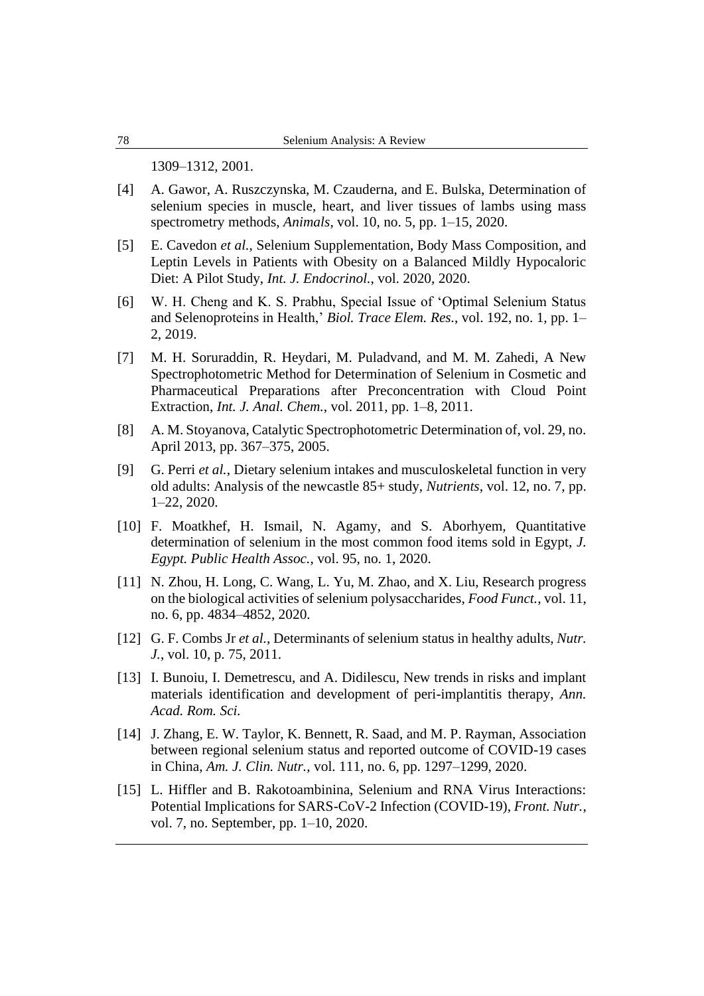1309–1312, 2001.

- [4] A. Gawor, A. Ruszczynska, M. Czauderna, and E. Bulska, Determination of selenium species in muscle, heart, and liver tissues of lambs using mass spectrometry methods, *Animals*, vol. 10, no. 5, pp. 1–15, 2020.
- [5] E. Cavedon *et al.*, Selenium Supplementation, Body Mass Composition, and Leptin Levels in Patients with Obesity on a Balanced Mildly Hypocaloric Diet: A Pilot Study, *Int. J. Endocrinol.*, vol. 2020, 2020.
- [6] W. H. Cheng and K. S. Prabhu, Special Issue of 'Optimal Selenium Status and Selenoproteins in Health,' *Biol. Trace Elem. Res.*, vol. 192, no. 1, pp. 1– 2, 2019.
- [7] M. H. Soruraddin, R. Heydari, M. Puladvand, and M. M. Zahedi, A New Spectrophotometric Method for Determination of Selenium in Cosmetic and Pharmaceutical Preparations after Preconcentration with Cloud Point Extraction, *Int. J. Anal. Chem.*, vol. 2011, pp. 1–8, 2011.
- [8] A. M. Stoyanova, Catalytic Spectrophotometric Determination of, vol. 29, no. April 2013, pp. 367–375, 2005.
- [9] G. Perri *et al.*, Dietary selenium intakes and musculoskeletal function in very old adults: Analysis of the newcastle 85+ study, *Nutrients*, vol. 12, no. 7, pp. 1–22, 2020.
- [10] F. Moatkhef, H. Ismail, N. Agamy, and S. Aborhyem, Quantitative determination of selenium in the most common food items sold in Egypt, *J. Egypt. Public Health Assoc.*, vol. 95, no. 1, 2020.
- [11] N. Zhou, H. Long, C. Wang, L. Yu, M. Zhao, and X. Liu, Research progress on the biological activities of selenium polysaccharides, *Food Funct.*, vol. 11, no. 6, pp. 4834–4852, 2020.
- [12] G. F. Combs Jr *et al.*, Determinants of selenium status in healthy adults, *Nutr. J.*, vol. 10, p. 75, 2011.
- [13] I. Bunoiu, I. Demetrescu, and A. Didilescu, New trends in risks and implant materials identification and development of peri-implantitis therapy, *Ann. Acad. Rom. Sci.*
- [14] J. Zhang, E. W. Taylor, K. Bennett, R. Saad, and M. P. Rayman, Association between regional selenium status and reported outcome of COVID-19 cases in China, *Am. J. Clin. Nutr.*, vol. 111, no. 6, pp. 1297–1299, 2020.
- [15] L. Hiffler and B. Rakotoambinina, Selenium and RNA Virus Interactions: Potential Implications for SARS-CoV-2 Infection (COVID-19), *Front. Nutr.*, vol. 7, no. September, pp. 1–10, 2020.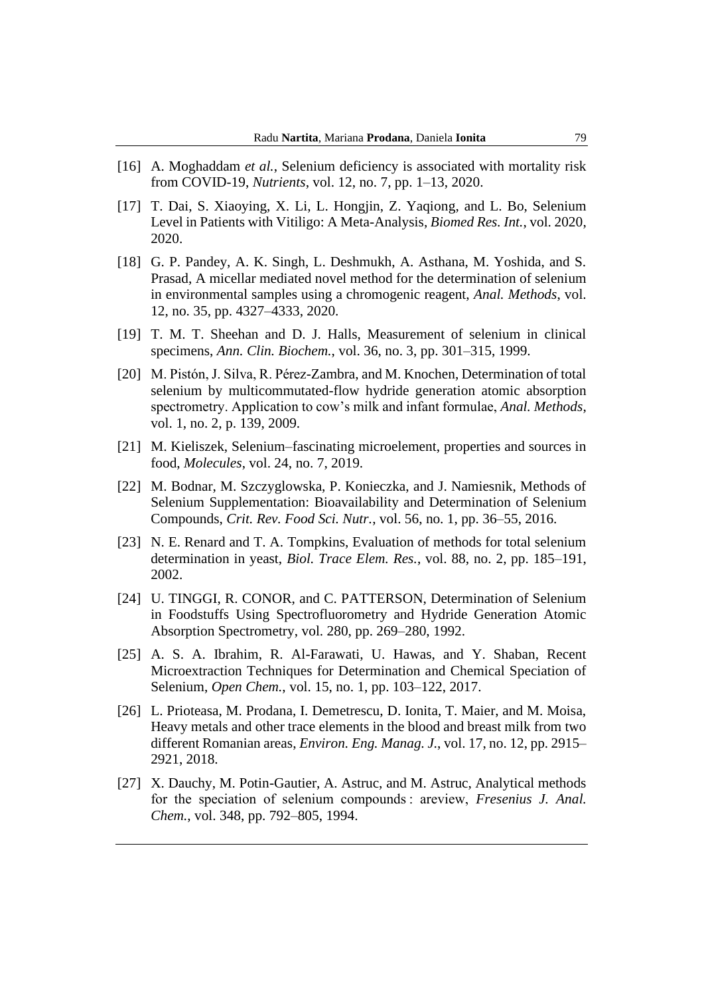- [16] A. Moghaddam et al., Selenium deficiency is associated with mortality risk from COVID-19, *Nutrients*, vol. 12, no. 7, pp. 1–13, 2020.
- [17] T. Dai, S. Xiaoying, X. Li, L. Hongjin, Z. Yaqiong, and L. Bo, Selenium Level in Patients with Vitiligo: A Meta-Analysis, *Biomed Res. Int.*, vol. 2020, 2020.
- [18] G. P. Pandey, A. K. Singh, L. Deshmukh, A. Asthana, M. Yoshida, and S. Prasad, A micellar mediated novel method for the determination of selenium in environmental samples using a chromogenic reagent, *Anal. Methods*, vol. 12, no. 35, pp. 4327–4333, 2020.
- [19] T. M. T. Sheehan and D. J. Halls, Measurement of selenium in clinical specimens, *Ann. Clin. Biochem.*, vol. 36, no. 3, pp. 301–315, 1999.
- [20] M. Pistón, J. Silva, R. Pérez-Zambra, and M. Knochen, Determination of total selenium by multicommutated-flow hydride generation atomic absorption spectrometry. Application to cow's milk and infant formulae, *Anal. Methods*, vol. 1, no. 2, p. 139, 2009.
- [21] M. Kieliszek, Selenium–fascinating microelement, properties and sources in food, *Molecules*, vol. 24, no. 7, 2019.
- [22] M. Bodnar, M. Szczyglowska, P. Konieczka, and J. Namiesnik, Methods of Selenium Supplementation: Bioavailability and Determination of Selenium Compounds, *Crit. Rev. Food Sci. Nutr.*, vol. 56, no. 1, pp. 36–55, 2016.
- [23] N. E. Renard and T. A. Tompkins, Evaluation of methods for total selenium determination in yeast, *Biol. Trace Elem. Res.*, vol. 88, no. 2, pp. 185–191, 2002.
- [24] U. TINGGI, R. CONOR, and C. PATTERSON, Determination of Selenium in Foodstuffs Using Spectrofluorometry and Hydride Generation Atomic Absorption Spectrometry, vol. 280, pp. 269–280, 1992.
- [25] A. S. A. Ibrahim, R. Al-Farawati, U. Hawas, and Y. Shaban, Recent Microextraction Techniques for Determination and Chemical Speciation of Selenium, *Open Chem.*, vol. 15, no. 1, pp. 103–122, 2017.
- [26] L. Prioteasa, M. Prodana, I. Demetrescu, D. Ionita, T. Maier, and M. Moisa, Heavy metals and other trace elements in the blood and breast milk from two different Romanian areas, *Environ. Eng. Manag. J.*, vol. 17, no. 12, pp. 2915– 2921, 2018.
- [27] X. Dauchy, M. Potin-Gautier, A. Astruc, and M. Astruc, Analytical methods for the speciation of selenium compounds : areview, *Fresenius J. Anal. Chem.*, vol. 348, pp. 792–805, 1994.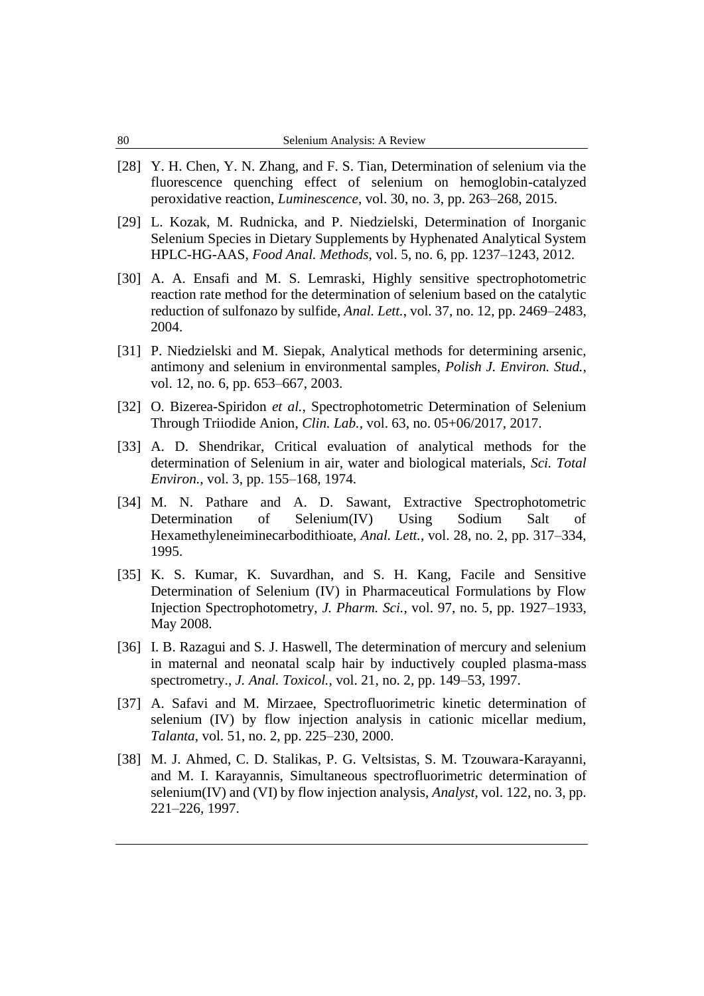- [28] Y. H. Chen, Y. N. Zhang, and F. S. Tian, Determination of selenium via the fluorescence quenching effect of selenium on hemoglobin-catalyzed peroxidative reaction, *Luminescence*, vol. 30, no. 3, pp. 263–268, 2015.
- [29] L. Kozak, M. Rudnicka, and P. Niedzielski, Determination of Inorganic Selenium Species in Dietary Supplements by Hyphenated Analytical System HPLC-HG-AAS, *Food Anal. Methods*, vol. 5, no. 6, pp. 1237–1243, 2012.
- [30] A. A. Ensafi and M. S. Lemraski, Highly sensitive spectrophotometric reaction rate method for the determination of selenium based on the catalytic reduction of sulfonazo by sulfide, *Anal. Lett.*, vol. 37, no. 12, pp. 2469–2483, 2004.
- [31] P. Niedzielski and M. Siepak, Analytical methods for determining arsenic, antimony and selenium in environmental samples, *Polish J. Environ. Stud.*, vol. 12, no. 6, pp. 653–667, 2003.
- [32] O. Bizerea-Spiridon *et al.*, Spectrophotometric Determination of Selenium Through Triiodide Anion, *Clin. Lab.*, vol. 63, no. 05+06/2017, 2017.
- [33] A. D. Shendrikar, Critical evaluation of analytical methods for the determination of Selenium in air, water and biological materials, *Sci. Total Environ.*, vol. 3, pp. 155–168, 1974.
- [34] M. N. Pathare and A. D. Sawant, Extractive Spectrophotometric Determination of Selenium(IV) Using Sodium Salt of Hexamethyleneiminecarbodithioate, *Anal. Lett.*, vol. 28, no. 2, pp. 317–334, 1995.
- [35] K. S. Kumar, K. Suvardhan, and S. H. Kang, Facile and Sensitive Determination of Selenium (IV) in Pharmaceutical Formulations by Flow Injection Spectrophotometry, *J. Pharm. Sci.*, vol. 97, no. 5, pp. 1927–1933, May 2008.
- [36] I. B. Razagui and S. J. Haswell, The determination of mercury and selenium in maternal and neonatal scalp hair by inductively coupled plasma-mass spectrometry., *J. Anal. Toxicol.*, vol. 21, no. 2, pp. 149–53, 1997.
- [37] A. Safavi and M. Mirzaee, Spectrofluorimetric kinetic determination of selenium (IV) by flow injection analysis in cationic micellar medium, *Talanta*, vol. 51, no. 2, pp. 225–230, 2000.
- [38] M. J. Ahmed, C. D. Stalikas, P. G. Veltsistas, S. M. Tzouwara-Karayanni, and M. I. Karayannis, Simultaneous spectrofluorimetric determination of selenium(IV) and (VI) by flow injection analysis, *Analyst*, vol. 122, no. 3, pp. 221–226, 1997.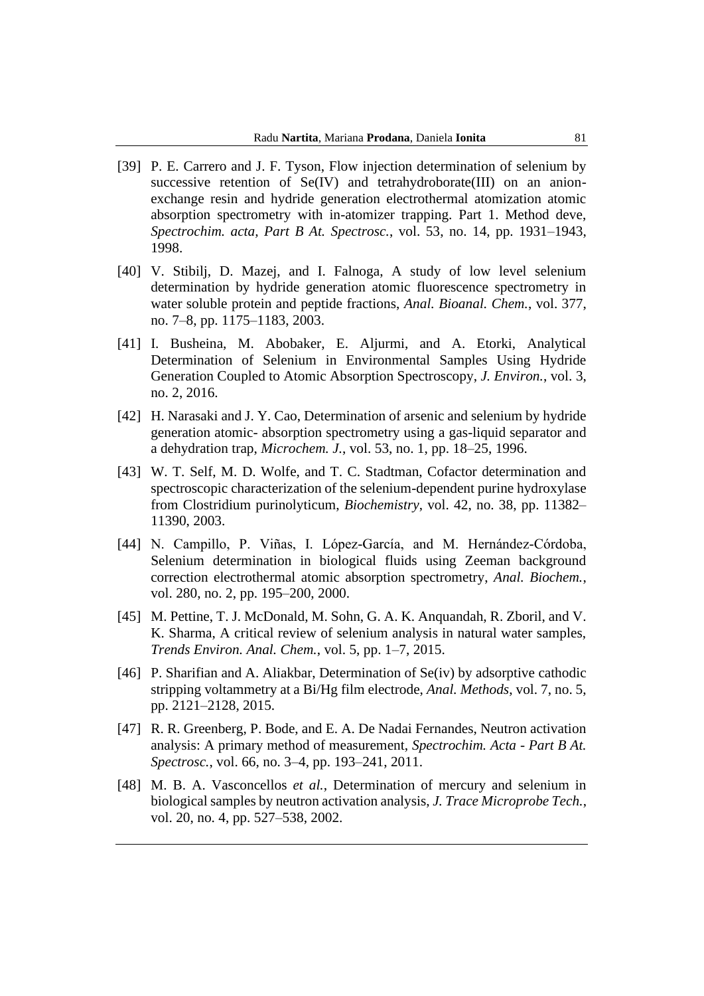- [39] P. E. Carrero and J. F. Tyson, Flow injection determination of selenium by successive retention of Se(IV) and tetrahydroborate(III) on an anionexchange resin and hydride generation electrothermal atomization atomic absorption spectrometry with in-atomizer trapping. Part 1. Method deve, *Spectrochim. acta, Part B At. Spectrosc.*, vol. 53, no. 14, pp. 1931–1943, 1998.
- [40] V. Stibilj, D. Mazej, and I. Falnoga, A study of low level selenium determination by hydride generation atomic fluorescence spectrometry in water soluble protein and peptide fractions, *Anal. Bioanal. Chem.*, vol. 377, no. 7–8, pp. 1175–1183, 2003.
- [41] I. Busheina, M. Abobaker, E. Aljurmi, and A. Etorki, Analytical Determination of Selenium in Environmental Samples Using Hydride Generation Coupled to Atomic Absorption Spectroscopy, *J. Environ.*, vol. 3, no. 2, 2016.
- [42] H. Narasaki and J. Y. Cao, Determination of arsenic and selenium by hydride generation atomic- absorption spectrometry using a gas-liquid separator and a dehydration trap, *Microchem. J.*, vol. 53, no. 1, pp. 18–25, 1996.
- [43] W. T. Self, M. D. Wolfe, and T. C. Stadtman, Cofactor determination and spectroscopic characterization of the selenium-dependent purine hydroxylase from Clostridium purinolyticum, *Biochemistry*, vol. 42, no. 38, pp. 11382– 11390, 2003.
- [44] N. Campillo, P. Viñas, I. López-García, and M. Hernández-Córdoba, Selenium determination in biological fluids using Zeeman background correction electrothermal atomic absorption spectrometry, *Anal. Biochem.*, vol. 280, no. 2, pp. 195–200, 2000.
- [45] M. Pettine, T. J. McDonald, M. Sohn, G. A. K. Anquandah, R. Zboril, and V. K. Sharma, A critical review of selenium analysis in natural water samples, *Trends Environ. Anal. Chem.*, vol. 5, pp. 1–7, 2015.
- [46] P. Sharifian and A. Aliakbar, Determination of  $Se(iv)$  by adsorptive cathodic stripping voltammetry at a Bi/Hg film electrode, *Anal. Methods*, vol. 7, no. 5, pp. 2121–2128, 2015.
- [47] R. R. Greenberg, P. Bode, and E. A. De Nadai Fernandes, Neutron activation analysis: A primary method of measurement, *Spectrochim. Acta - Part B At. Spectrosc.*, vol. 66, no. 3–4, pp. 193–241, 2011.
- [48] M. B. A. Vasconcellos *et al.*, Determination of mercury and selenium in biological samples by neutron activation analysis, *J. Trace Microprobe Tech.*, vol. 20, no. 4, pp. 527–538, 2002.